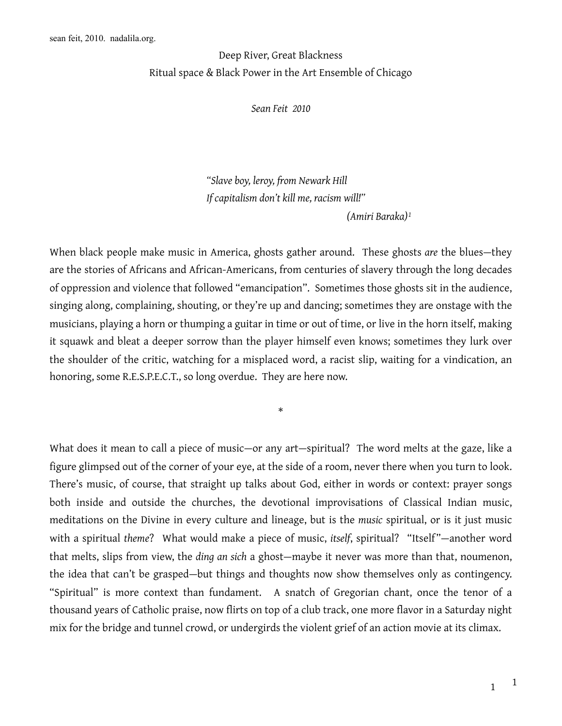## Deep River, Great Blackness Ritual space & Black Power in the Art Ensemble of Chicago

*Sean Feit 2010*

*"Slave boy, leroy, from Newark Hill If capitalism don't kill me, racism will!" (Amiri Baraka)[1](#page-14-0)*

When black people make music in America, ghosts gather around. These ghosts *are* the blues—they are the stories of Africans and African-Americans, from centuries of slavery through the long decades of oppression and violence that followed "emancipation". Sometimes those ghosts sit in the audience, singing along, complaining, shouting, or they're up and dancing; sometimes they are onstage with the musicians, playing a horn or thumping a guitar in time or out of time, or live in the horn itself, making it squawk and bleat a deeper sorrow than the player himself even knows; sometimes they lurk over the shoulder of the critic, watching for a misplaced word, a racist slip, waiting for a vindication, an honoring, some R.E.S.P.E.C.T., so long overdue. They are here now.

\*

What does it mean to call a piece of music—or any art—spiritual? The word melts at the gaze, like a figure glimpsed out of the corner of your eye, at the side of a room, never there when you turn to look. There's music, of course, that straight up talks about God, either in words or context: prayer songs both inside and outside the churches, the devotional improvisations of Classical Indian music, meditations on the Divine in every culture and lineage, but is the *music* spiritual, or is it just music with a spiritual *theme*? What would make a piece of music, *itself*, spiritual? "Itself"—another word that melts, slips from view, the *ding an sich* a ghost—maybe it never was more than that, noumenon, the idea that can't be grasped—but things and thoughts now show themselves only as contingency. "Spiritual" is more context than fundament. A snatch of Gregorian chant, once the tenor of a thousand years of Catholic praise, now flirts on top of a club track, one more flavor in a Saturday night mix for the bridge and tunnel crowd, or undergirds the violent grief of an action movie at its climax.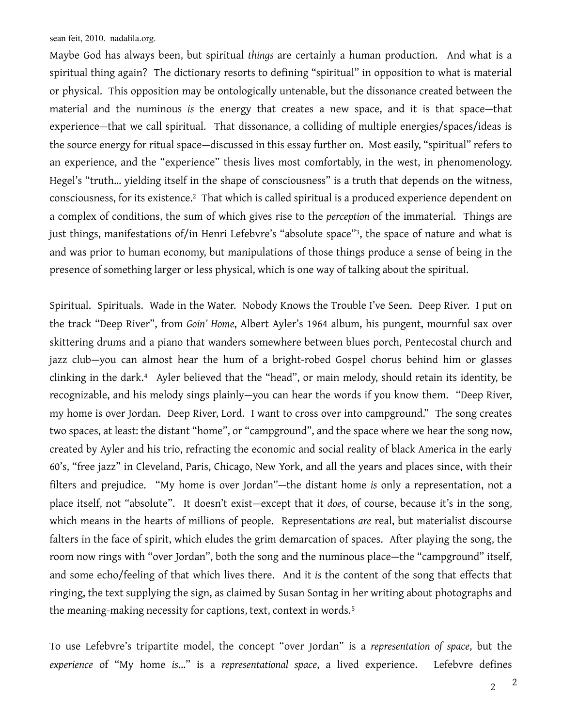Maybe God has always been, but spiritual *things* are certainly a human production. And what is a spiritual thing again? The dictionary resorts to defining "spiritual" in opposition to what is material or physical. This opposition may be ontologically untenable, but the dissonance created between the material and the numinous *is* the energy that creates a new space, and it is that space—that experience—that we call spiritual. That dissonance, a colliding of multiple energies/spaces/ideas is the source energy for ritual space—discussed in this essay further on. Most easily, "spiritual" refers to an experience, and the "experience" thesis lives most comfortably, in the west, in phenomenology. Hegel's "truth… yielding itself in the shape of consciousness" is a truth that depends on the witness, consciousness, for its existence[.2](#page-14-1) That which is called spiritual is a produced experience dependent on a complex of conditions, the sum of which gives rise to the *perception* of the immaterial. Things are just things, manifestations of/in Henri Lefebvre's "absolute space"<sup>3</sup>, the space of nature and what is and was prior to human economy, but manipulations of those things produce a sense of being in the presence of something larger or less physical, which is one way of talking about the spiritual.

Spiritual. Spirituals. Wade in the Water. Nobody Knows the Trouble I've Seen. Deep River. I put on the track "Deep River", from *Goin' Home*, Albert Ayler's 1964 album, his pungent, mournful sax over skittering drums and a piano that wanders somewhere between blues porch, Pentecostal church and jazz club—you can almost hear the hum of a bright-robed Gospel chorus behind him or glasses clinking in the dark.[4](#page-14-3) Ayler believed that the "head", or main melody, should retain its identity, be recognizable, and his melody sings plainly—you can hear the words if you know them. "Deep River, my home is over Jordan. Deep River, Lord. I want to cross over into campground." The song creates two spaces, at least: the distant "home", or "campground", and the space where we hear the song now, created by Ayler and his trio, refracting the economic and social reality of black America in the early 60's, "free jazz" in Cleveland, Paris, Chicago, New York, and all the years and places since, with their filters and prejudice. "My home is over Jordan"—the distant home *is* only a representation, not a place itself, not "absolute". It doesn't exist—except that it *does*, of course, because it's in the song, which means in the hearts of millions of people. Representations *are* real, but materialist discourse falters in the face of spirit, which eludes the grim demarcation of spaces. After playing the song, the room now rings with "over Jordan", both the song and the numinous place—the "campground" itself, and some echo/feeling of that which lives there. And it *is* the content of the song that effects that ringing, the text supplying the sign, as claimed by Susan Sontag in her writing about photographs and the meaning-making necessity for captions, text, context in words.<sup>[5](#page-14-4)</sup>

To use Lefebvre's tripartite model, the concept "over Jordan" is a *representation of space*, but the *experience* of "My home *is*…" is a *representational space*, a lived experience. Lefebvre defines

 $\overline{2}$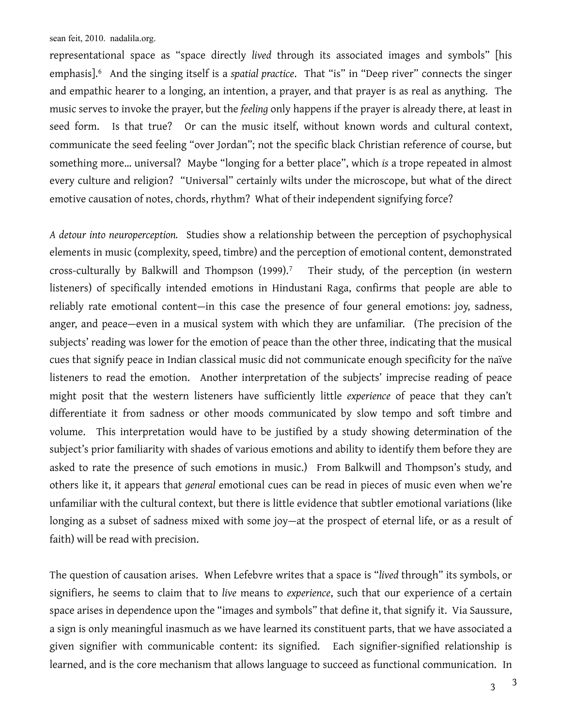representational space as "space directly *lived* through its associated images and symbols" [his emphasis].[6](#page-14-5) And the singing itself is a *spatial practice*. That "is" in "Deep river" connects the singer and empathic hearer to a longing, an intention, a prayer, and that prayer is as real as anything. The music serves to invoke the prayer, but the *feeling* only happens if the prayer is already there, at least in seed form. Is that true? Or can the music itself, without known words and cultural context, communicate the seed feeling "over Jordan"; not the specific black Christian reference of course, but something more… universal? Maybe "longing for a better place", which *is* a trope repeated in almost every culture and religion? "Universal" certainly wilts under the microscope, but what of the direct emotive causation of notes, chords, rhythm? What of their independent signifying force?

*A detour into neuroperception.* Studies show a relationship between the perception of psychophysical elements in music (complexity, speed, timbre) and the perception of emotional content, demonstrated cross-culturally by Balkwill and Thompson (1999).[7](#page-14-6) Their study, of the perception (in western listeners) of specifically intended emotions in Hindustani Raga, confirms that people are able to reliably rate emotional content—in this case the presence of four general emotions: joy, sadness, anger, and peace—even in a musical system with which they are unfamiliar. (The precision of the subjects' reading was lower for the emotion of peace than the other three, indicating that the musical cues that signify peace in Indian classical music did not communicate enough specificity for the naïve listeners to read the emotion. Another interpretation of the subjects' imprecise reading of peace might posit that the western listeners have sufficiently little *experience* of peace that they can't differentiate it from sadness or other moods communicated by slow tempo and soft timbre and volume. This interpretation would have to be justified by a study showing determination of the subject's prior familiarity with shades of various emotions and ability to identify them before they are asked to rate the presence of such emotions in music.) From Balkwill and Thompson's study, and others like it, it appears that *general* emotional cues can be read in pieces of music even when we're unfamiliar with the cultural context, but there is little evidence that subtler emotional variations (like longing as a subset of sadness mixed with some joy—at the prospect of eternal life, or as a result of faith) will be read with precision.

The question of causation arises. When Lefebvre writes that a space is "*lived* through" its symbols, or signifiers, he seems to claim that to *live* means to *experience*, such that our experience of a certain space arises in dependence upon the "images and symbols" that define it, that signify it. Via Saussure, a sign is only meaningful inasmuch as we have learned its constituent parts, that we have associated a given signifier with communicable content: its signified. Each signifier-signified relationship is learned, and is the core mechanism that allows language to succeed as functional communication. In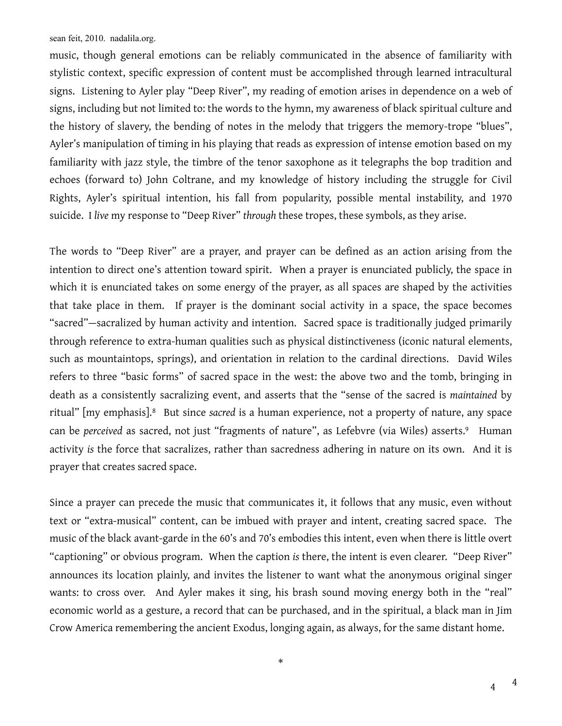music, though general emotions can be reliably communicated in the absence of familiarity with stylistic context, specific expression of content must be accomplished through learned intracultural signs. Listening to Ayler play "Deep River", my reading of emotion arises in dependence on a web of signs, including but not limited to: the words to the hymn, my awareness of black spiritual culture and the history of slavery, the bending of notes in the melody that triggers the memory-trope "blues", Ayler's manipulation of timing in his playing that reads as expression of intense emotion based on my familiarity with jazz style, the timbre of the tenor saxophone as it telegraphs the bop tradition and echoes (forward to) John Coltrane, and my knowledge of history including the struggle for Civil Rights, Ayler's spiritual intention, his fall from popularity, possible mental instability, and 1970 suicide. I *live* my response to "Deep River" *through* these tropes, these symbols, as they arise.

The words to "Deep River" are a prayer, and prayer can be defined as an action arising from the intention to direct one's attention toward spirit. When a prayer is enunciated publicly, the space in which it is enunciated takes on some energy of the prayer, as all spaces are shaped by the activities that take place in them. If prayer is the dominant social activity in a space, the space becomes "sacred"—sacralized by human activity and intention. Sacred space is traditionally judged primarily through reference to extra-human qualities such as physical distinctiveness (iconic natural elements, such as mountaintops, springs), and orientation in relation to the cardinal directions. David Wiles refers to three "basic forms" of sacred space in the west: the above two and the tomb, bringing in death as a consistently sacralizing event, and asserts that the "sense of the sacred is *maintained* by ritual" [my emphasis].[8](#page-14-7) But since *sacred* is a human experience, not a property of nature, any space can be *perceived* as sacred, not just "fragments of nature", as Lefebvre (via Wiles) asserts.<sup>9</sup> Human activity *is* the force that sacralizes, rather than sacredness adhering in nature on its own. And it is prayer that creates sacred space.

Since a prayer can precede the music that communicates it, it follows that any music, even without text or "extra-musical" content, can be imbued with prayer and intent, creating sacred space. The music of the black avant-garde in the 60's and 70's embodies this intent, even when there is little overt "captioning" or obvious program. When the caption *is* there, the intent is even clearer. "Deep River" announces its location plainly, and invites the listener to want what the anonymous original singer wants: to cross over. And Ayler makes it sing, his brash sound moving energy both in the "real" economic world as a gesture, a record that can be purchased, and in the spiritual, a black man in Jim Crow America remembering the ancient Exodus, longing again, as always, for the same distant home.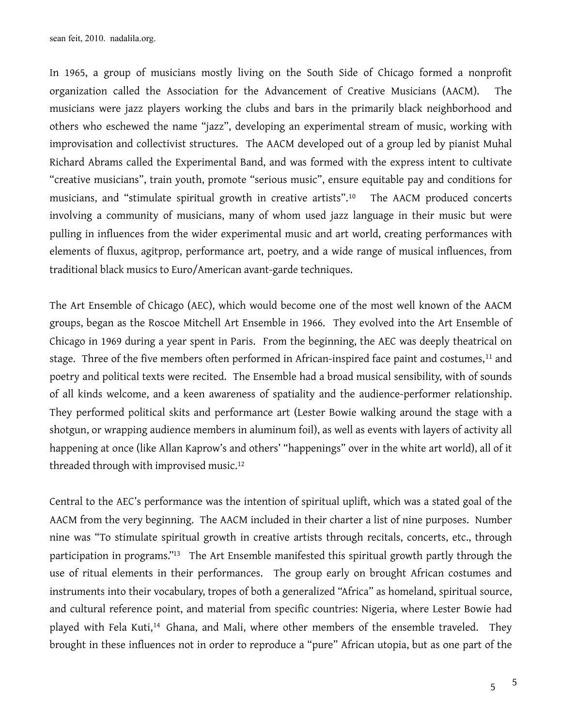In 1965, a group of musicians mostly living on the South Side of Chicago formed a nonprofit organization called the Association for the Advancement of Creative Musicians (AACM). The musicians were jazz players working the clubs and bars in the primarily black neighborhood and others who eschewed the name "jazz", developing an experimental stream of music, working with improvisation and collectivist structures. The AACM developed out of a group led by pianist Muhal Richard Abrams called the Experimental Band, and was formed with the express intent to cultivate "creative musicians", train youth, promote "serious music", ensure equitable pay and conditions for musicians, and "stimulate spiritual growth in creative artists".<sup>[10](#page-14-9)</sup> The AACM produced concerts involving a community of musicians, many of whom used jazz language in their music but were pulling in influences from the wider experimental music and art world, creating performances with elements of fluxus, agitprop, performance art, poetry, and a wide range of musical influences, from traditional black musics to Euro/American avant-garde techniques.

The Art Ensemble of Chicago (AEC), which would become one of the most well known of the AACM groups, began as the Roscoe Mitchell Art Ensemble in 1966. They evolved into the Art Ensemble of Chicago in 1969 during a year spent in Paris. From the beginning, the AEC was deeply theatrical on stage. Three of the five members often performed in African-inspired face paint and costumes,<sup>[11](#page-14-10)</sup> and poetry and political texts were recited. The Ensemble had a broad musical sensibility, with of sounds of all kinds welcome, and a keen awareness of spatiality and the audience-performer relationship. They performed political skits and performance art (Lester Bowie walking around the stage with a shotgun, or wrapping audience members in aluminum foil), as well as events with layers of activity all happening at once (like Allan Kaprow's and others' "happenings" over in the white art world), all of it threaded through with improvised music.[12](#page-14-11)

Central to the AEC's performance was the intention of spiritual uplift, which was a stated goal of the AACM from the very beginning. The AACM included in their charter a list of nine purposes. Number nine was "To stimulate spiritual growth in creative artists through recitals, concerts, etc., through participation in programs.["13](#page-14-12) The Art Ensemble manifested this spiritual growth partly through the use of ritual elements in their performances. The group early on brought African costumes and instruments into their vocabulary, tropes of both a generalized "Africa" as homeland, spiritual source, and cultural reference point, and material from specific countries: Nigeria, where Lester Bowie had played with Fela Kuti,<sup>[14](#page-14-13)</sup> Ghana, and Mali, where other members of the ensemble traveled. They brought in these influences not in order to reproduce a "pure" African utopia, but as one part of the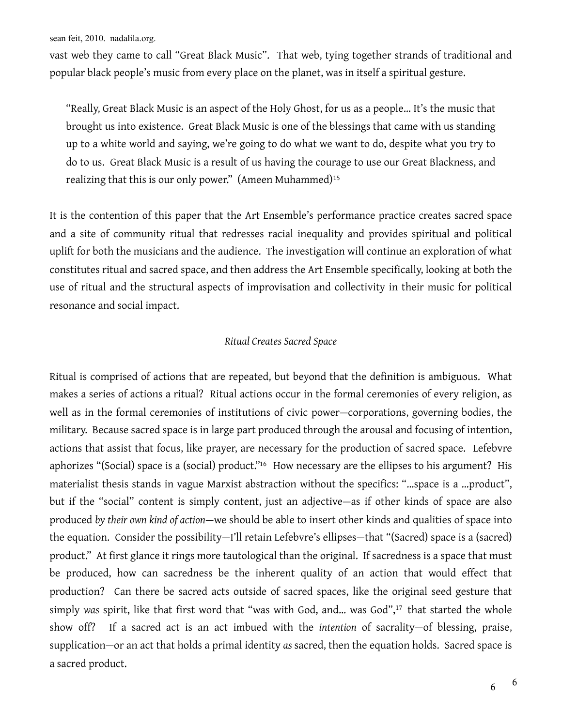vast web they came to call "Great Black Music". That web, tying together strands of traditional and popular black people's music from every place on the planet, was in itself a spiritual gesture.

"Really, Great Black Music is an aspect of the Holy Ghost, for us as a people… It's the music that brought us into existence. Great Black Music is one of the blessings that came with us standing up to a white world and saying, we're going to do what we want to do, despite what you try to do to us. Great Black Music is a result of us having the courage to use our Great Blackness, and realizing that this is our only power." (Ameen Muhammed)<sup>[15](#page-14-14)</sup>

It is the contention of this paper that the Art Ensemble's performance practice creates sacred space and a site of community ritual that redresses racial inequality and provides spiritual and political uplift for both the musicians and the audience. The investigation will continue an exploration of what constitutes ritual and sacred space, and then address the Art Ensemble specifically, looking at both the use of ritual and the structural aspects of improvisation and collectivity in their music for political resonance and social impact.

## *Ritual Creates Sacred Space*

Ritual is comprised of actions that are repeated, but beyond that the definition is ambiguous. What makes a series of actions a ritual? Ritual actions occur in the formal ceremonies of every religion, as well as in the formal ceremonies of institutions of civic power—corporations, governing bodies, the military. Because sacred space is in large part produced through the arousal and focusing of intention, actions that assist that focus, like prayer, are necessary for the production of sacred space. Lefebvre aphorizes "(Social) space is a (social) product.["16](#page-14-15) How necessary are the ellipses to his argument? His materialist thesis stands in vague Marxist abstraction without the specifics: "…space is a …product", but if the "social" content is simply content, just an adjective—as if other kinds of space are also produced *by their own kind of action*—we should be able to insert other kinds and qualities of space into the equation. Consider the possibility—I'll retain Lefebvre's ellipses—that "(Sacred) space is a (sacred) product." At first glance it rings more tautological than the original. If sacredness is a space that must be produced, how can sacredness be the inherent quality of an action that would effect that production? Can there be sacred acts outside of sacred spaces, like the original seed gesture that simply was spirit, like that first word that "was with God, and... was God",<sup>17</sup> that started the whole show off? If a sacred act is an act imbued with the *intention* of sacrality—of blessing, praise, supplication—or an act that holds a primal identity *as* sacred, then the equation holds. Sacred space is a sacred product.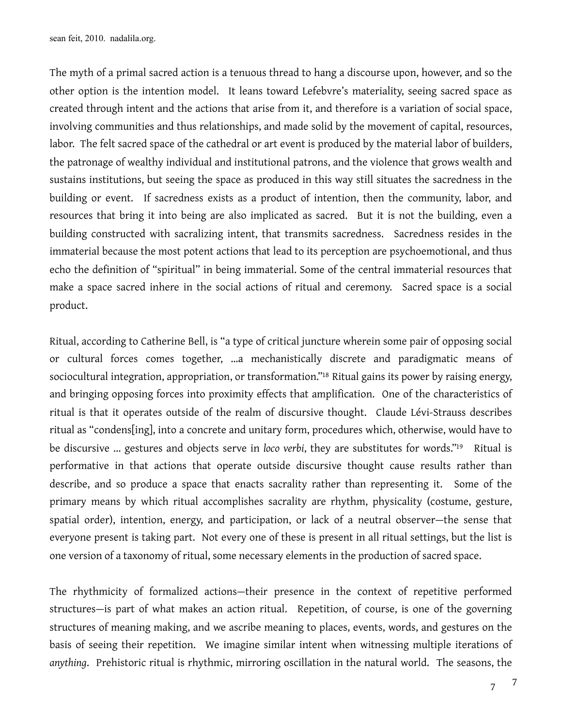The myth of a primal sacred action is a tenuous thread to hang a discourse upon, however, and so the other option is the intention model. It leans toward Lefebvre's materiality, seeing sacred space as created through intent and the actions that arise from it, and therefore is a variation of social space, involving communities and thus relationships, and made solid by the movement of capital, resources, labor. The felt sacred space of the cathedral or art event is produced by the material labor of builders, the patronage of wealthy individual and institutional patrons, and the violence that grows wealth and sustains institutions, but seeing the space as produced in this way still situates the sacredness in the building or event. If sacredness exists as a product of intention, then the community, labor, and resources that bring it into being are also implicated as sacred. But it is not the building, even a building constructed with sacralizing intent, that transmits sacredness. Sacredness resides in the immaterial because the most potent actions that lead to its perception are psychoemotional, and thus echo the definition of "spiritual" in being immaterial. Some of the central immaterial resources that make a space sacred inhere in the social actions of ritual and ceremony. Sacred space is a social product.

Ritual, according to Catherine Bell, is "a type of critical juncture wherein some pair of opposing social or cultural forces comes together, …a mechanistically discrete and paradigmatic means of sociocultural integration, appropriation, or transformation.["18](#page-14-17) Ritual gains its power by raising energy, and bringing opposing forces into proximity effects that amplification. One of the characteristics of ritual is that it operates outside of the realm of discursive thought. Claude Lévi-Strauss describes ritual as "condens[ing], into a concrete and unitary form, procedures which, otherwise, would have to be discursive ... gestures and objects serve in *loco verbi*, they are substitutes for words.["19](#page-14-18) Ritual is performative in that actions that operate outside discursive thought cause results rather than describe, and so produce a space that enacts sacrality rather than representing it. Some of the primary means by which ritual accomplishes sacrality are rhythm, physicality (costume, gesture, spatial order), intention, energy, and participation, or lack of a neutral observer—the sense that everyone present is taking part. Not every one of these is present in all ritual settings, but the list is one version of a taxonomy of ritual, some necessary elements in the production of sacred space.

The rhythmicity of formalized actions—their presence in the context of repetitive performed structures—is part of what makes an action ritual. Repetition, of course, is one of the governing structures of meaning making, and we ascribe meaning to places, events, words, and gestures on the basis of seeing their repetition. We imagine similar intent when witnessing multiple iterations of *anything*. Prehistoric ritual is rhythmic, mirroring oscillation in the natural world. The seasons, the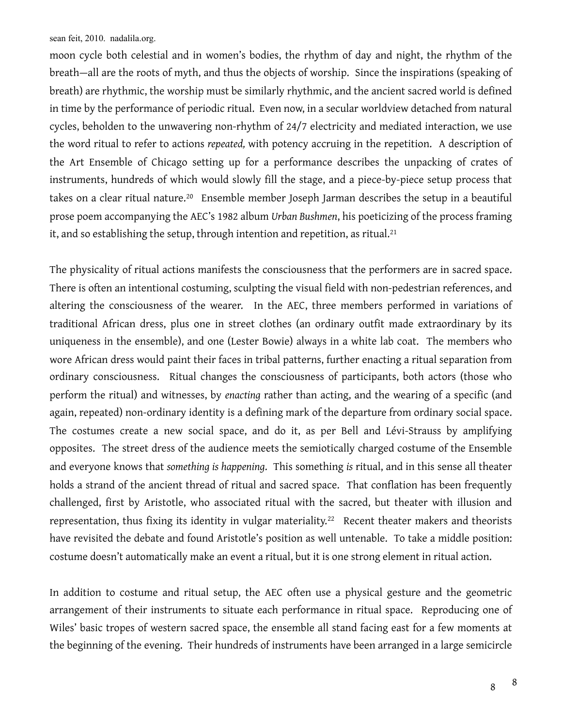moon cycle both celestial and in women's bodies, the rhythm of day and night, the rhythm of the breath—all are the roots of myth, and thus the objects of worship. Since the inspirations (speaking of breath) are rhythmic, the worship must be similarly rhythmic, and the ancient sacred world is defined in time by the performance of periodic ritual. Even now, in a secular worldview detached from natural cycles, beholden to the unwavering non-rhythm of 24/7 electricity and mediated interaction, we use the word ritual to refer to actions *repeated,* with potency accruing in the repetition. A description of the Art Ensemble of Chicago setting up for a performance describes the unpacking of crates of instruments, hundreds of which would slowly fill the stage, and a piece-by-piece setup process that takes on a clear ritual nature.<sup>[20](#page-14-19)</sup> Ensemble member Joseph Jarman describes the setup in a beautiful prose poem accompanying the AEC's 1982 album *Urban Bushmen*, his poeticizing of the process framing it, and so establishing the setup, through intention and repetition, as ritual.<sup>[21](#page-14-20)</sup>

The physicality of ritual actions manifests the consciousness that the performers are in sacred space. There is often an intentional costuming, sculpting the visual field with non-pedestrian references, and altering the consciousness of the wearer. In the AEC, three members performed in variations of traditional African dress, plus one in street clothes (an ordinary outfit made extraordinary by its uniqueness in the ensemble), and one (Lester Bowie) always in a white lab coat. The members who wore African dress would paint their faces in tribal patterns, further enacting a ritual separation from ordinary consciousness. Ritual changes the consciousness of participants, both actors (those who perform the ritual) and witnesses, by *enacting* rather than acting, and the wearing of a specific (and again, repeated) non-ordinary identity is a defining mark of the departure from ordinary social space. The costumes create a new social space, and do it, as per Bell and Lévi-Strauss by amplifying opposites. The street dress of the audience meets the semiotically charged costume of the Ensemble and everyone knows that *something is happening*. This something *is* ritual, and in this sense all theater holds a strand of the ancient thread of ritual and sacred space. That conflation has been frequently challenged, first by Aristotle, who associated ritual with the sacred, but theater with illusion and representation, thus fixing its identity in vulgar materiality.<sup>[22](#page-14-21)</sup> Recent theater makers and theorists have revisited the debate and found Aristotle's position as well untenable. To take a middle position: costume doesn't automatically make an event a ritual, but it is one strong element in ritual action.

In addition to costume and ritual setup, the AEC often use a physical gesture and the geometric arrangement of their instruments to situate each performance in ritual space. Reproducing one of Wiles' basic tropes of western sacred space, the ensemble all stand facing east for a few moments at the beginning of the evening. Their hundreds of instruments have been arranged in a large semicircle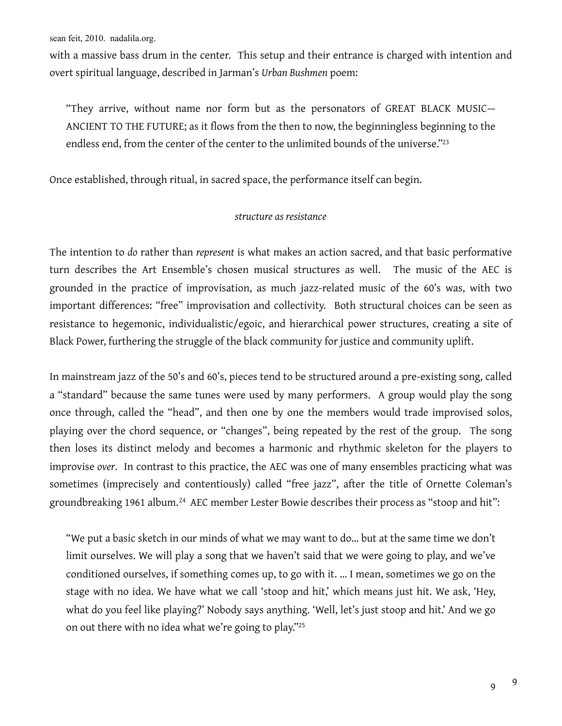with a massive bass drum in the center. This setup and their entrance is charged with intention and overt spiritual language, described in Jarman's *Urban Bushmen* poem:

"They arrive, without name nor form but as the personators of GREAT BLACK MUSIC— ANCIENT TO THE FUTURE; as it flows from the then to now, the beginningless beginning to the endless end, from the center of the center to the unlimited bounds of the universe.["23](#page-15-0)

Once established, through ritual, in sacred space, the performance itself can begin.

## *structure as resistance*

The intention to *do* rather than *represent* is what makes an action sacred, and that basic performative turn describes the Art Ensemble's chosen musical structures as well. The music of the AEC is grounded in the practice of improvisation, as much jazz-related music of the 60's was, with two important differences: "free" improvisation and collectivity. Both structural choices can be seen as resistance to hegemonic, individualistic/egoic, and hierarchical power structures, creating a site of Black Power, furthering the struggle of the black community for justice and community uplift.

In mainstream jazz of the 50's and 60's, pieces tend to be structured around a pre-existing song, called a "standard" because the same tunes were used by many performers. A group would play the song once through, called the "head", and then one by one the members would trade improvised solos, playing over the chord sequence, or "changes", being repeated by the rest of the group. The song then loses its distinct melody and becomes a harmonic and rhythmic skeleton for the players to improvise *over*. In contrast to this practice, the AEC was one of many ensembles practicing what was sometimes (imprecisely and contentiously) called "free jazz", after the title of Ornette Coleman's groundbreaking 1961 album.<sup>[24](#page-15-1)</sup> AEC member Lester Bowie describes their process as "stoop and hit":

"We put a basic sketch in our minds of what we may want to do… but at the same time we don't limit ourselves. We will play a song that we haven't said that we were going to play, and we've conditioned ourselves, if something comes up, to go with it. … I mean, sometimes we go on the stage with no idea. We have what we call 'stoop and hit,' which means just hit. We ask, 'Hey, what do you feel like playing?' Nobody says anything. 'Well, let's just stoop and hit.' And we go on out there with no idea what we're going to play.["25](#page-15-2)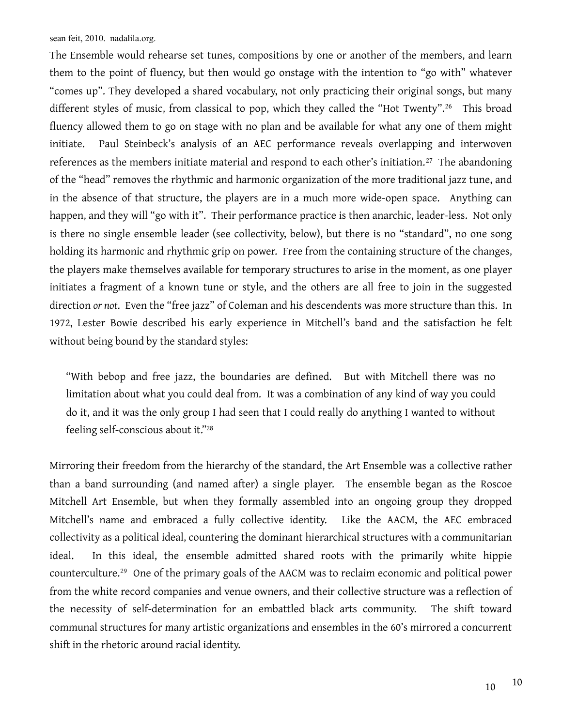The Ensemble would rehearse set tunes, compositions by one or another of the members, and learn them to the point of fluency, but then would go onstage with the intention to "go with" whatever "comes up". They developed a shared vocabulary, not only practicing their original songs, but many different styles of music, from classical to pop, which they called the "Hot Twenty".<sup>[26](#page-15-3)</sup> This broad fluency allowed them to go on stage with no plan and be available for what any one of them might initiate. Paul Steinbeck's analysis of an AEC performance reveals overlapping and interwoven references as the members initiate material and respond to each other's initiation.<sup>[27](#page-15-4)</sup> The abandoning of the "head" removes the rhythmic and harmonic organization of the more traditional jazz tune, and in the absence of that structure, the players are in a much more wide-open space. Anything can happen, and they will "go with it". Their performance practice is then anarchic, leader-less. Not only is there no single ensemble leader (see collectivity, below), but there is no "standard", no one song holding its harmonic and rhythmic grip on power. Free from the containing structure of the changes, the players make themselves available for temporary structures to arise in the moment, as one player initiates a fragment of a known tune or style, and the others are all free to join in the suggested direction *or not*. Even the "free jazz" of Coleman and his descendents was more structure than this. In 1972, Lester Bowie described his early experience in Mitchell's band and the satisfaction he felt without being bound by the standard styles:

"With bebop and free jazz, the boundaries are defined. But with Mitchell there was no limitation about what you could deal from. It was a combination of any kind of way you could do it, and it was the only group I had seen that I could really do anything I wanted to without feeling self-conscious about it.["28](#page-15-5)

Mirroring their freedom from the hierarchy of the standard, the Art Ensemble was a collective rather than a band surrounding (and named after) a single player. The ensemble began as the Roscoe Mitchell Art Ensemble, but when they formally assembled into an ongoing group they dropped Mitchell's name and embraced a fully collective identity. Like the AACM, the AEC embraced collectivity as a political ideal, countering the dominant hierarchical structures with a communitarian ideal. In this ideal, the ensemble admitted shared roots with the primarily white hippie counterculture.[29](#page-15-6) One of the primary goals of the AACM was to reclaim economic and political power from the white record companies and venue owners, and their collective structure was a reflection of the necessity of self-determination for an embattled black arts community. The shift toward communal structures for many artistic organizations and ensembles in the 60's mirrored a concurrent shift in the rhetoric around racial identity.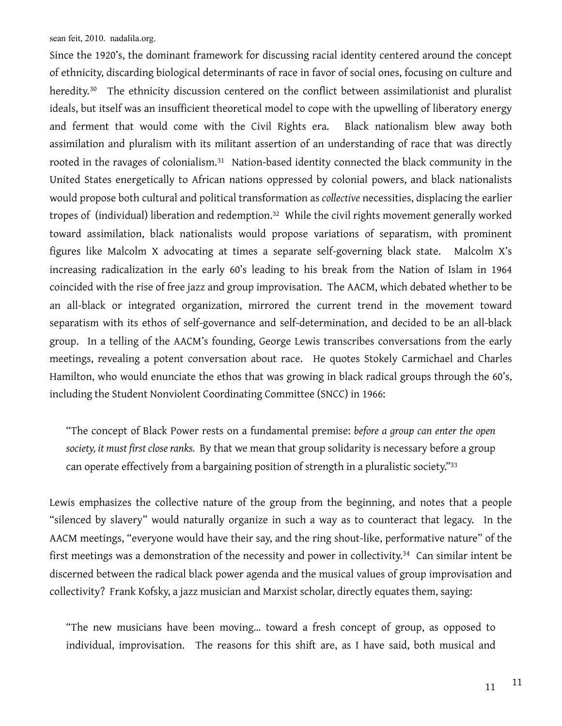Since the 1920's, the dominant framework for discussing racial identity centered around the concept of ethnicity, discarding biological determinants of race in favor of social ones, focusing on culture and heredity.<sup>[30](#page-15-7)</sup> The ethnicity discussion centered on the conflict between assimilationist and pluralist ideals, but itself was an insufficient theoretical model to cope with the upwelling of liberatory energy and ferment that would come with the Civil Rights era. Black nationalism blew away both assimilation and pluralism with its militant assertion of an understanding of race that was directly rooted in the ravages of colonialism.[31](#page-15-8) Nation-based identity connected the black community in the United States energetically to African nations oppressed by colonial powers, and black nationalists would propose both cultural and political transformation as *collective* necessities, displacing the earlier tropes of (individual) liberation and redemption.[32](#page-15-9) While the civil rights movement generally worked toward assimilation, black nationalists would propose variations of separatism, with prominent figures like Malcolm X advocating at times a separate self-governing black state. Malcolm X's increasing radicalization in the early 60's leading to his break from the Nation of Islam in 1964 coincided with the rise of free jazz and group improvisation. The AACM, which debated whether to be an all-black or integrated organization, mirrored the current trend in the movement toward separatism with its ethos of self-governance and self-determination, and decided to be an all-black group. In a telling of the AACM's founding, George Lewis transcribes conversations from the early meetings, revealing a potent conversation about race. He quotes Stokely Carmichael and Charles Hamilton, who would enunciate the ethos that was growing in black radical groups through the 60's, including the Student Nonviolent Coordinating Committee (SNCC) in 1966:

"The concept of Black Power rests on a fundamental premise: *before a group can enter the open society, it must first close ranks.* By that we mean that group solidarity is necessary before a group can operate effectively from a bargaining position of strength in a pluralistic society."[33](#page-15-10)

Lewis emphasizes the collective nature of the group from the beginning, and notes that a people "silenced by slavery" would naturally organize in such a way as to counteract that legacy. In the AACM meetings, "everyone would have their say, and the ring shout-like, performative nature" of the first meetings was a demonstration of the necessity and power in collectivity.<sup>[34](#page-15-11)</sup> Can similar intent be discerned between the radical black power agenda and the musical values of group improvisation and collectivity? Frank Kofsky, a jazz musician and Marxist scholar, directly equates them, saying:

"The new musicians have been moving… toward a fresh concept of group, as opposed to individual, improvisation. The reasons for this shift are, as I have said, both musical and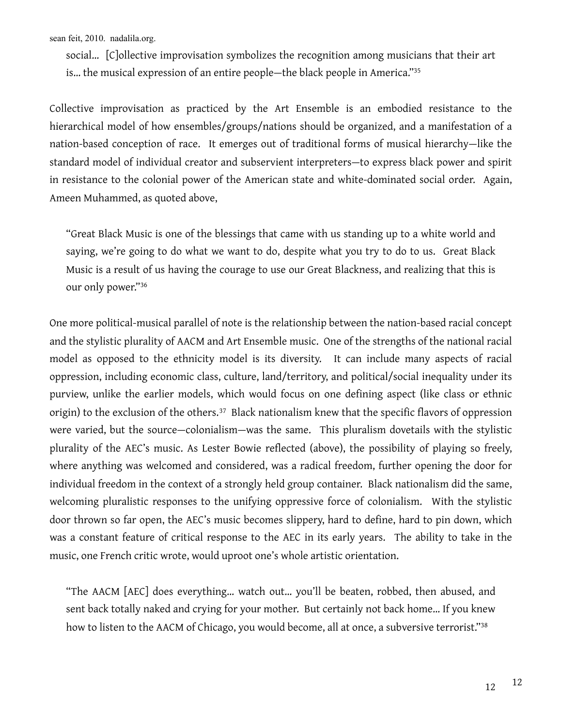social… [C]ollective improvisation symbolizes the recognition among musicians that their art is… the musical expression of an entire people—the black people in America.["35](#page-15-12)

Collective improvisation as practiced by the Art Ensemble is an embodied resistance to the hierarchical model of how ensembles/groups/nations should be organized, and a manifestation of a nation-based conception of race. It emerges out of traditional forms of musical hierarchy—like the standard model of individual creator and subservient interpreters—to express black power and spirit in resistance to the colonial power of the American state and white-dominated social order. Again, Ameen Muhammed, as quoted above,

"Great Black Music is one of the blessings that came with us standing up to a white world and saying, we're going to do what we want to do, despite what you try to do to us. Great Black Music is a result of us having the courage to use our Great Blackness, and realizing that this is our only power."[36](#page-15-13)

One more political-musical parallel of note is the relationship between the nation-based racial concept and the stylistic plurality of AACM and Art Ensemble music. One of the strengths of the national racial model as opposed to the ethnicity model is its diversity. It can include many aspects of racial oppression, including economic class, culture, land/territory, and political/social inequality under its purview, unlike the earlier models, which would focus on one defining aspect (like class or ethnic origin) to the exclusion of the others.<sup>[37](#page-15-14)</sup> Black nationalism knew that the specific flavors of oppression were varied, but the source—colonialism—was the same. This pluralism dovetails with the stylistic plurality of the AEC's music. As Lester Bowie reflected (above), the possibility of playing so freely, where anything was welcomed and considered, was a radical freedom, further opening the door for individual freedom in the context of a strongly held group container. Black nationalism did the same, welcoming pluralistic responses to the unifying oppressive force of colonialism. With the stylistic door thrown so far open, the AEC's music becomes slippery, hard to define, hard to pin down, which was a constant feature of critical response to the AEC in its early years. The ability to take in the music, one French critic wrote, would uproot one's whole artistic orientation.

"The AACM [AEC] does everything… watch out… you'll be beaten, robbed, then abused, and sent back totally naked and crying for your mother. But certainly not back home… If you knew how to listen to the AACM of Chicago, you would become, all at once, a subversive terrorist."<sup>[38](#page-15-15)</sup>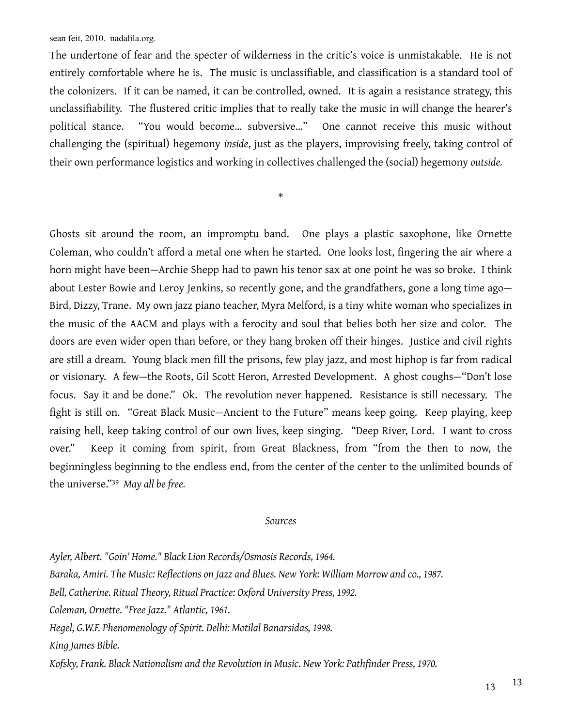The undertone of fear and the specter of wilderness in the critic's voice is unmistakable. He is not entirely comfortable where he is. The music is unclassifiable, and classification is a standard tool of the colonizers. If it can be named, it can be controlled, owned. It is again a resistance strategy, this unclassifiability. The flustered critic implies that to really take the music in will change the hearer's political stance. "You would become… subversive…" One cannot receive this music without challenging the (spiritual) hegemony *inside*, just as the players, improvising freely, taking control of their own performance logistics and working in collectives challenged the (social) hegemony *outside.*

\*

Ghosts sit around the room, an impromptu band. One plays a plastic saxophone, like Ornette Coleman, who couldn't afford a metal one when he started. One looks lost, fingering the air where a horn might have been—Archie Shepp had to pawn his tenor sax at one point he was so broke. I think about Lester Bowie and Leroy Jenkins, so recently gone, and the grandfathers, gone a long time ago— Bird, Dizzy, Trane. My own jazz piano teacher, Myra Melford, is a tiny white woman who specializes in the music of the AACM and plays with a ferocity and soul that belies both her size and color. The doors are even wider open than before, or they hang broken off their hinges. Justice and civil rights are still a dream. Young black men fill the prisons, few play jazz, and most hiphop is far from radical or visionary. A few—the Roots, Gil Scott Heron, Arrested Development. A ghost coughs—"Don't lose focus. Say it and be done." Ok. The revolution never happened. Resistance is still necessary. The fight is still on. "Great Black Music—Ancient to the Future" means keep going. Keep playing, keep raising hell, keep taking control of our own lives, keep singing. "Deep River, Lord. I want to cross over." Keep it coming from spirit, from Great Blackness, from "from the then to now, the beginningless beginning to the endless end, from the center of the center to the unlimited bounds of the universe."[39](#page-15-16) *May all be free.*

## *Sources*

*Ayler, Albert. "Goin' Home." Black Lion Records/Osmosis Records, 1964. Baraka, Amiri. The Music: Reflections on Jazz and Blues. New York: William Morrow and co., 1987. Bell, Catherine. Ritual Theory, Ritual Practice: Oxford University Press, 1992. Coleman, Ornette. "Free Jazz." Atlantic, 1961. Hegel, G.W.F. Phenomenology of Spirit. Delhi: Motilal Banarsidas, 1998. King James Bible. Kofsky, Frank. Black Nationalism and the Revolution in Music. New York: Pathfinder Press, 1970.*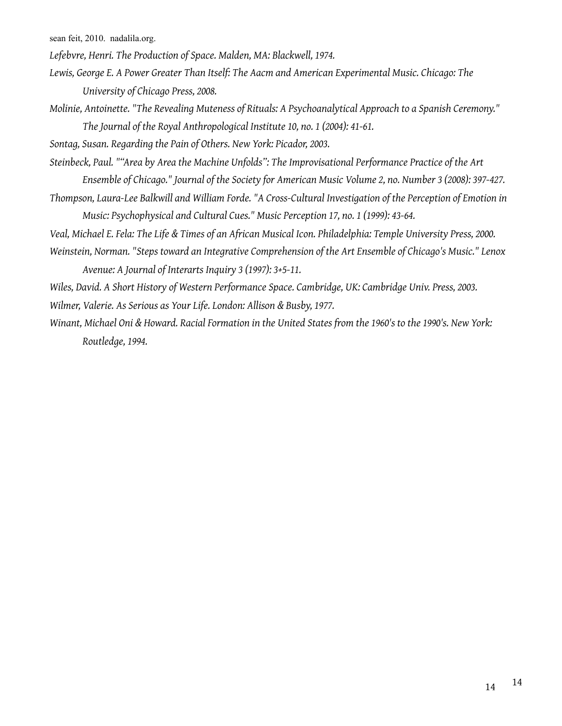*Lefebvre, Henri. The Production of Space. Malden, MA: Blackwell, 1974.*

- *Lewis, George E. A Power Greater Than Itself: The Aacm and American Experimental Music. Chicago: The University of Chicago Press, 2008.*
- *Molinie, Antoinette. "The Revealing Muteness of Rituals: A Psychoanalytical Approach to a Spanish Ceremony." The Journal of the Royal Anthropological Institute 10, no. 1 (2004): 41-61.*

*Sontag, Susan. Regarding the Pain of Others. New York: Picador, 2003.*

- *Steinbeck, Paul. ""Area by Area the Machine Unfolds": The Improvisational Performance Practice of the Art Ensemble of Chicago." Journal of the Society for American Music Volume 2, no. Number 3 (2008): 397-427.*
- *Thompson, Laura-Lee Balkwill and William Forde. "A Cross-Cultural Investigation of the Perception of Emotion in Music: Psychophysical and Cultural Cues." Music Perception 17, no. 1 (1999): 43-64.*
- *Veal, Michael E. Fela: The Life & Times of an African Musical Icon. Philadelphia: Temple University Press, 2000.*
- *Weinstein, Norman. "Steps toward an Integrative Comprehension of the Art Ensemble of Chicago's Music." Lenox Avenue: A Journal of Interarts Inquiry 3 (1997): 3+5-11.*

*Wiles, David. A Short History of Western Performance Space. Cambridge, UK: Cambridge Univ. Press, 2003. Wilmer, Valerie. As Serious as Your Life. London: Allison & Busby, 1977.*

*Winant, Michael Oni & Howard. Racial Formation in the United States from the 1960's to the 1990's. New York: Routledge, 1994.*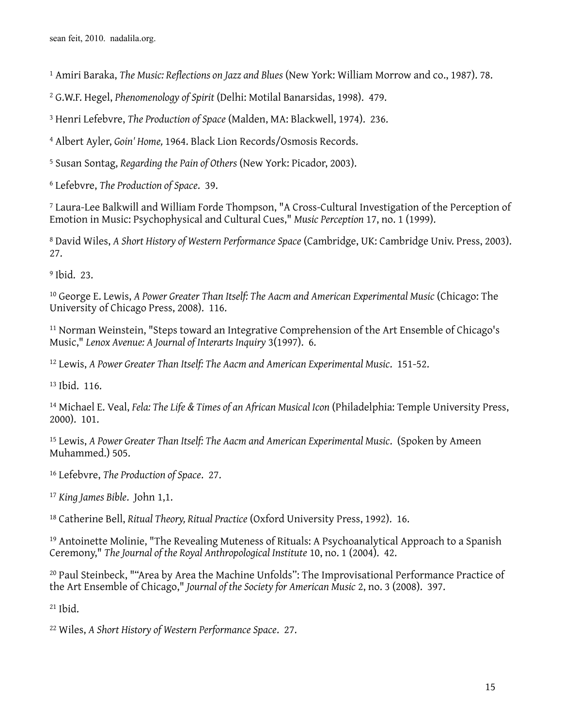<span id="page-14-0"></span>Amiri Baraka, *The Music: Reflections on Jazz and Blues* (New York: William Morrow and co., 1987). 78.

<span id="page-14-1"></span>G.W.F. Hegel, *Phenomenology of Spirit* (Delhi: Motilal Banarsidas, 1998). 479.

<span id="page-14-2"></span>Henri Lefebvre, *The Production of Space* (Malden, MA: Blackwell, 1974). 236.

<span id="page-14-3"></span>Albert Ayler, *Goin' Home,* 1964. Black Lion Records/Osmosis Records.

<span id="page-14-4"></span>Susan Sontag, *Regarding the Pain of Others* (New York: Picador, 2003).

<span id="page-14-5"></span>Lefebvre, *The Production of Space*. 39.

<span id="page-14-6"></span> Laura-Lee Balkwill and William Forde Thompson, "A Cross-Cultural Investigation of the Perception of Emotion in Music: Psychophysical and Cultural Cues," *Music Perception* 17, no. 1 (1999).

<span id="page-14-7"></span> David Wiles, *A Short History of Western Performance Space* (Cambridge, UK: Cambridge Univ. Press, 2003). 27.

<span id="page-14-8"></span>Ibid. 23.

<span id="page-14-9"></span> George E. Lewis, *A Power Greater Than Itself: The Aacm and American Experimental Music* (Chicago: The University of Chicago Press, 2008). 116.

<span id="page-14-10"></span> Norman Weinstein, "Steps toward an Integrative Comprehension of the Art Ensemble of Chicago's Music," *Lenox Avenue: A Journal of Interarts Inquiry* 3(1997). 6.

<span id="page-14-11"></span>Lewis, *A Power Greater Than Itself: The Aacm and American Experimental Music*. 151-52.

<span id="page-14-12"></span>Ibid. 116.

<span id="page-14-13"></span> Michael E. Veal, *Fela: The Life & Times of an African Musical Icon* (Philadelphia: Temple University Press, 2000). 101.

<span id="page-14-14"></span><sup>15</sup> Lewis, *A Power Greater Than Itself: The Aacm and American Experimental Music.* (Spoken by Ameen Muhammed.) 505.

<span id="page-14-15"></span>Lefebvre, *The Production of Space*. 27.

<span id="page-14-16"></span>*King James Bible*. John 1,1.

<span id="page-14-17"></span>Catherine Bell, *Ritual Theory, Ritual Practice* (Oxford University Press, 1992). 16.

<span id="page-14-18"></span> Antoinette Molinie, "The Revealing Muteness of Rituals: A Psychoanalytical Approach to a Spanish Ceremony," *The Journal of the Royal Anthropological Institute* 10, no. 1 (2004). 42.

<span id="page-14-19"></span> Paul Steinbeck, ""Area by Area the Machine Unfolds": The Improvisational Performance Practice of the Art Ensemble of Chicago," *Journal of the Society for American Music* 2, no. 3 (2008). 397.

<span id="page-14-20"></span>Ibid.

<span id="page-14-21"></span>Wiles, *A Short History of Western Performance Space*. 27.